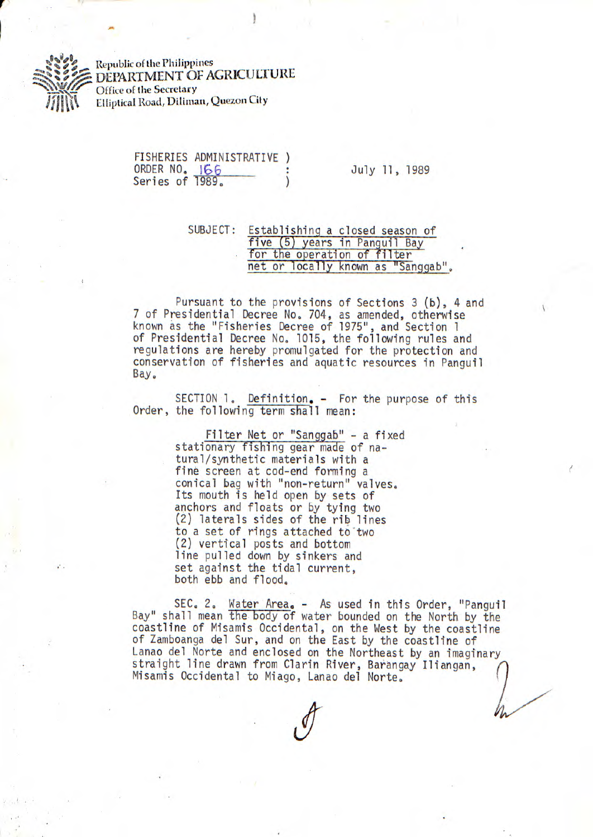Republic of the Philippines

DEPARTMENT OF AGRICULTURE Office of the Secretary Elliptical Road, Diliman, Quezon City

|                 | FISHERIES ADMINISTRATIVE |  |
|-----------------|--------------------------|--|
| ORDER NO. 166   |                          |  |
| Series of 1989. |                          |  |

July 11, 1989

SUBJECT: Establishing a closed season of five (5) years in Panguil Bay for the operation of filter net or locally known as "Sanggab".

Pursuant to the provisions of Sections 3 (b), 4 and 7 of Presidential Decree No, 704, as amended, otherwise known as the "Fisheries Decree of 1975", and Section 1 of Presidential Decree No. 1015, the following rules and regulations are hereby promulgated for the protection and conservation of fisheries and aquatic resources in Panguil Bay.

SECTION 1. Definition. - For the purpose of this Order, the following term shall mean:

> Filter Net or "Sanggab" - a fixed stationary fishing gear made of natural/synthetic materials with a fine screen at cod-end forming a conical bag with "non-return" valves. Its mouth is held open by sets of anchors and floats or by tying two (2) laterals sides of the rib lines to a set of rings attached to two (2) vertical posts and bottom line pulled down by sinkers and set against the tidal current, both ebb and flood.

SEC. 2. Water Area, - As used in this Order, "Panguil Bay" shall mean the body of water bounded on the North by the coastline of Misamis Occidental, on the West by the coastline of Zamboanga del Sur, and on the East by the coastline of Lanao del Norte and enclosed on the Northeast by an imaginary straight line drawn from Clarin River, Barangay Iliangan, Misamis Occidental to Miago, Lanao del Norte.